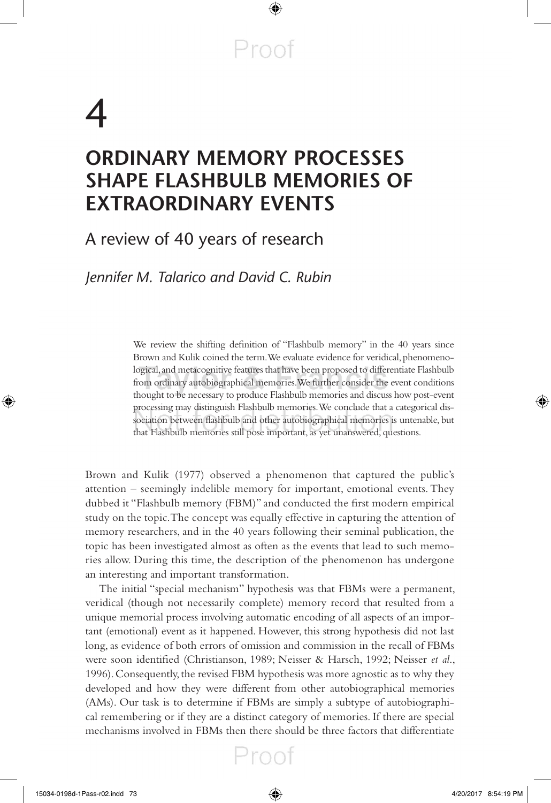## 4 **ORDINARY MEMORY PROCESSES SHAPE FLASHBULB MEMORIES OF EXTRAORDINARY EVENTS**

 $\bigoplus$ 

Proof

A review of 40 years of research

*Jennifer M. Talarico and David C. Rubin*

We review the shifting definition of "Flashbulb memory" in the 40 years since Brown and Kulik coined the term. We evaluate evidence for veridical, phenomenological, and metacognitive features that have been proposed to differentiate Flashbulb from ordinary autobiographical memories. We further consider the event conditions thought to be necessary to produce Flashbulb memories and discuss how post-event processing may distinguish Flashbulb memories. We conclude that a categorical dissociation between flashbulb and other autobiographical memories is untenable, but that Flashbulb memories still pose important, as yet unanswered, questions.

Brown and Kulik (1977) observed a phenomenon that captured the public's attention – seemingly indelible memory for important, emotional events. They dubbed it "Flashbulb memory (FBM)" and conducted the first modern empirical study on the topic. The concept was equally effective in capturing the attention of memory researchers, and in the 40 years following their seminal publication, the topic has been investigated almost as often as the events that lead to such memories allow. During this time, the description of the phenomenon has undergone an interesting and important transformation.

The initial "special mechanism" hypothesis was that FBMs were a permanent, veridical (though not necessarily complete) memory record that resulted from a unique memorial process involving automatic encoding of all aspects of an important (emotional) event as it happened. However, this strong hypothesis did not last long, as evidence of both errors of omission and commission in the recall of FBMs were soon identified (Christianson, 1989; Neisser & Harsch, 1992; Neisser *et al*., 1996). Consequently, the revised FBM hypothesis was more agnostic as to why they developed and how they were different from other autobiographical memories (AMs). Our task is to determine if FBMs are simply a subtype of autobiographical remembering or if they are a distinct category of memories. If there are special mechanisms involved in FBMs then there should be three factors that differentiate



◈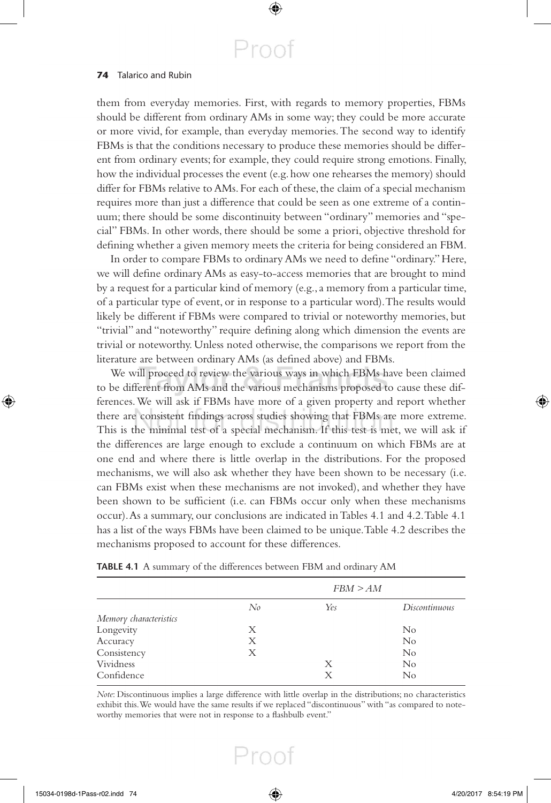⊕

#### **74** Talarico and Rubin

them from everyday memories. First, with regards to memory properties, FBMs should be different from ordinary AMs in some way; they could be more accurate or more vivid, for example, than everyday memories. The second way to identify FBMs is that the conditions necessary to produce these memories should be different from ordinary events; for example, they could require strong emotions. Finally, how the individual processes the event (e.g. how one rehearses the memory) should differ for FBMs relative to AMs. For each of these, the claim of a special mechanism requires more than just a difference that could be seen as one extreme of a continuum; there should be some discontinuity between "ordinary" memories and "special" FBMs. In other words, there should be some a priori, objective threshold for defining whether a given memory meets the criteria for being considered an FBM.

In order to compare FBMs to ordinary AMs we need to define "ordinary." Here, we will define ordinary AMs as easy-to-access memories that are brought to mind by a request for a particular kind of memory (e.g., a memory from a particular time, of a particular type of event, or in response to a particular word). The results would likely be different if FBMs were compared to trivial or noteworthy memories, but "trivial" and "noteworthy" require defining along which dimension the events are trivial or noteworthy. Unless noted otherwise, the comparisons we report from the literature are between ordinary AMs (as defined above) and FBMs.

We will proceed to review the various ways in which FBMs have been claimed to be different from AMs and the various mechanisms proposed to cause these differences. We will ask if FBMs have more of a given property and report whether there are consistent findings across studies showing that FBMs are more extreme. This is the minimal test of a special mechanism. If this test is met, we will ask if the differences are large enough to exclude a continuum on which FBMs are at one end and where there is little overlap in the distributions. For the proposed mechanisms, we will also ask whether they have been shown to be necessary (i.e. can FBMs exist when these mechanisms are not invoked), and whether they have been shown to be sufficient (i.e. can FBMs occur only when these mechanisms occur). As a summary, our conclusions are indicated in Tables 4.1 and 4.2. Table 4.1 has a list of the ways FBMs have been claimed to be unique. Table 4.2 describes the mechanisms proposed to account for these differences.

|                        | FBM > AM |     |                |  |  |
|------------------------|----------|-----|----------------|--|--|
|                        | No       | Yes | Discontinuous  |  |  |
| Memory characteristics |          |     |                |  |  |
| Longevity              | Х        |     | N <sub>o</sub> |  |  |
| Accuracy               | Х        |     | $\rm No$       |  |  |
| Consistency            | Х        |     | N <sub>o</sub> |  |  |
| Vividness              |          | X   | No             |  |  |
| Confidence             |          | X   | No             |  |  |

**TABLE 4.1** A summary of the differences between FBM and ordinary AM

*Note*: Discontinuous implies a large difference with little overlap in the distributions; no characteristics exhibit this. We would have the same results if we replaced "discontinuous" with "as compared to noteworthy memories that were not in response to a flashbulb event."

Proof

⊕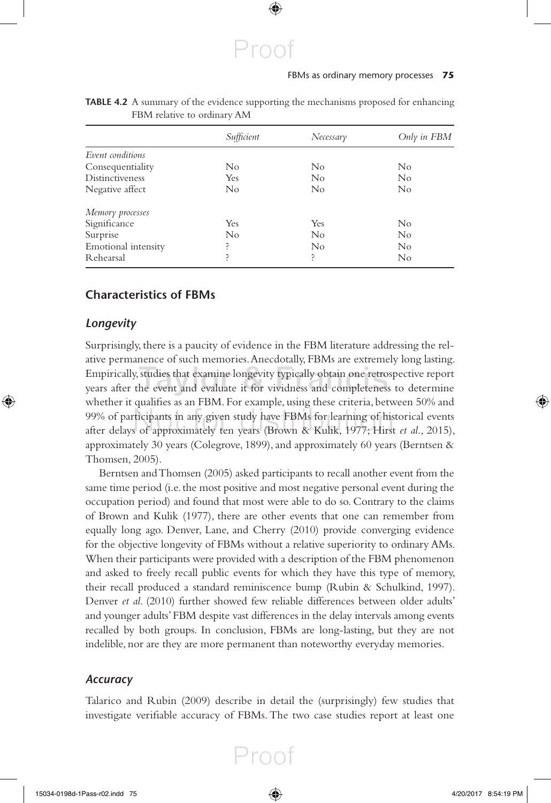#### FBMs as ordinary memory processes **75**

|                        | Sufficient | Necessary      | Only in FBM    |  |  |
|------------------------|------------|----------------|----------------|--|--|
| Event conditions       |            |                |                |  |  |
| Consequentiality       | No         | $\rm No$       | N <sub>o</sub> |  |  |
| <b>Distinctiveness</b> | Yes        | N <sub>0</sub> | N <sub>o</sub> |  |  |
| Negative affect        | No         | No             | N <sub>o</sub> |  |  |
| Memory processes       |            |                |                |  |  |
| Significance           | Yes        | Yes            | N <sub>o</sub> |  |  |
| Surprise               | No         | N <sub>0</sub> | N <sub>o</sub> |  |  |
| Emotional intensity    | ς          | N <sub>0</sub> | N <sub>o</sub> |  |  |
| Rehearsal              | ς          | ς              | N <sub>o</sub> |  |  |

| <b>TABLE 4.2</b> A summary of the evidence supporting the mechanisms proposed for enhancing |  |  |  |  |  |
|---------------------------------------------------------------------------------------------|--|--|--|--|--|
| FBM relative to ordinary AM                                                                 |  |  |  |  |  |

Proof

 $\bigoplus$ 

#### **Characteristics of FBMs**

#### *Longevity*

⊕

Surprisingly, there is a paucity of evidence in the FBM literature addressing the relative permanence of such memories. Anecdotally, FBMs are extremely long lasting. Empirically, studies that examine longevity typically obtain one retrospective report years after the event and evaluate it for vividness and completeness to determine whether it qualifies as an FBM. For example, using these criteria, between 50% and 99% of participants in any given study have FBMs for learning of historical events after delays of approximately ten years (Brown & Kulik, 1977; Hirst *et al*., 2015), approximately 30 years (Colegrove, 1899), and approximately 60 years (Berntsen & Thomsen, 2005).

Berntsen and Thomsen (2005) asked participants to recall another event from the same time period (i.e. the most positive and most negative personal event during the occupation period) and found that most were able to do so. Contrary to the claims of Brown and Kulik (1977), there are other events that one can remember from equally long ago. Denver, Lane, and Cherry (2010) provide converging evidence for the objective longevity of FBMs without a relative superiority to ordinary AMs. When their participants were provided with a description of the FBM phenomenon and asked to freely recall public events for which they have this type of memory, their recall produced a standard reminiscence bump (Rubin & Schulkind, 1997). Denver *et al*. (2010) further showed few reliable differences between older adults' and younger adults' FBM despite vast differences in the delay intervals among events recalled by both groups. In conclusion, FBMs are long-lasting, but they are not indelible, nor are they are more permanent than noteworthy everyday memories.

#### *Accuracy*

Talarico and Rubin (2009) describe in detail the (surprisingly) few studies that investigate verifiable accuracy of FBMs. The two case studies report at least one ⊕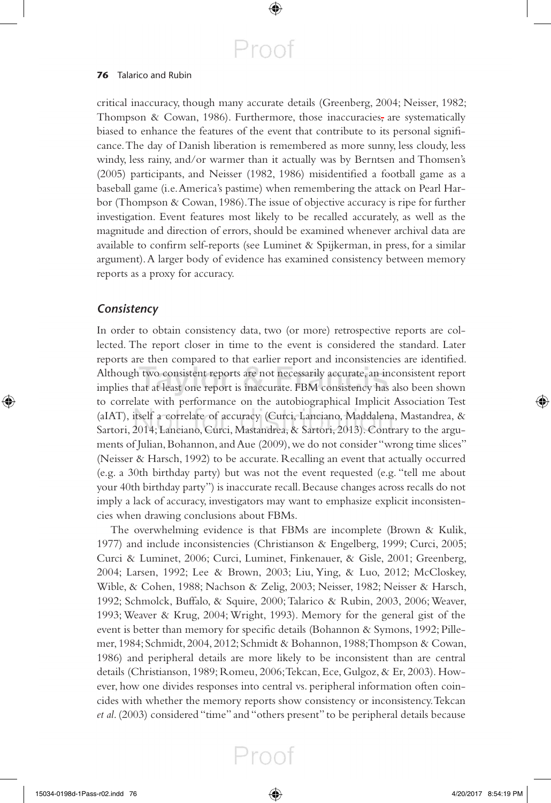⊕

#### **76** Talarico and Rubin

critical inaccuracy, though many accurate details (Greenberg, 2004; Neisser, 1982; Thompson & Cowan, 1986). Furthermore, those inaccuracies, are systematically biased to enhance the features of the event that contribute to its personal significance. The day of Danish liberation is remembered as more sunny, less cloudy, less windy, less rainy, and/or warmer than it actually was by Berntsen and Thomsen's (2005) participants, and Neisser (1982, 1986) misidentified a football game as a baseball game (i.e. America's pastime) when remembering the attack on Pearl Harbor (Thompson & Cowan, 1986). The issue of objective accuracy is ripe for further investigation. Event features most likely to be recalled accurately, as well as the magnitude and direction of errors, should be examined whenever archival data are available to confirm self-reports (see Luminet & Spijkerman, in press, for a similar argument). A larger body of evidence has examined consistency between memory reports as a proxy for accuracy.

#### *Consistency*

⊕

In order to obtain consistency data, two (or more) retrospective reports are collected. The report closer in time to the event is considered the standard. Later reports are then compared to that earlier report and inconsistencies are identified. Although two consistent reports are not necessarily accurate, an inconsistent report implies that at least one report is inaccurate. FBM consistency has also been shown to correlate with performance on the autobiographical Implicit Association Test (aIAT), itself a correlate of accuracy (Curci, Lanciano, Maddalena, Mastandrea, & Sartori, 2014; Lanciano, Curci, Mastandrea, & Sartori, 2013). Contrary to the arguments of Julian, Bohannon, and Aue (2009), we do not consider "wrong time slices" (Neisser & Harsch, 1992) to be accurate. Recalling an event that actually occurred (e.g. a 30th birthday party) but was not the event requested (e.g. "tell me about your 40th birthday party") is inaccurate recall. Because changes across recalls do not imply a lack of accuracy, investigators may want to emphasize explicit inconsistencies when drawing conclusions about FBMs.

The overwhelming evidence is that FBMs are incomplete (Brown & Kulik, 1977) and include inconsistencies (Christianson & Engelberg, 1999; Curci, 2005; Curci & Luminet, 2006; Curci, Luminet, Finkenauer, & Gisle, 2001; Greenberg, 2004; Larsen, 1992; Lee & Brown, 2003; Liu, Ying, & Luo, 2012; McCloskey, Wible, & Cohen, 1988; Nachson & Zelig, 2003; Neisser, 1982; Neisser & Harsch, 1992; Schmolck, Buffalo, & Squire, 2000; Talarico & Rubin, 2003, 2006; Weaver, 1993; Weaver & Krug, 2004; Wright, 1993). Memory for the general gist of the event is better than memory for specific details (Bohannon & Symons, 1992; Pillemer, 1984; Schmidt, 2004, 2012; Schmidt & Bohannon, 1988; Thompson & Cowan, 1986) and peripheral details are more likely to be inconsistent than are central details (Christianson, 1989; Romeu, 2006; Tekcan, Ece, Gulgoz, & Er, 2003). However, how one divides responses into central vs. peripheral information often coincides with whether the memory reports show consistency or inconsistency. Tekcan *et al*. (2003) considered "time" and "others present" to be peripheral details because

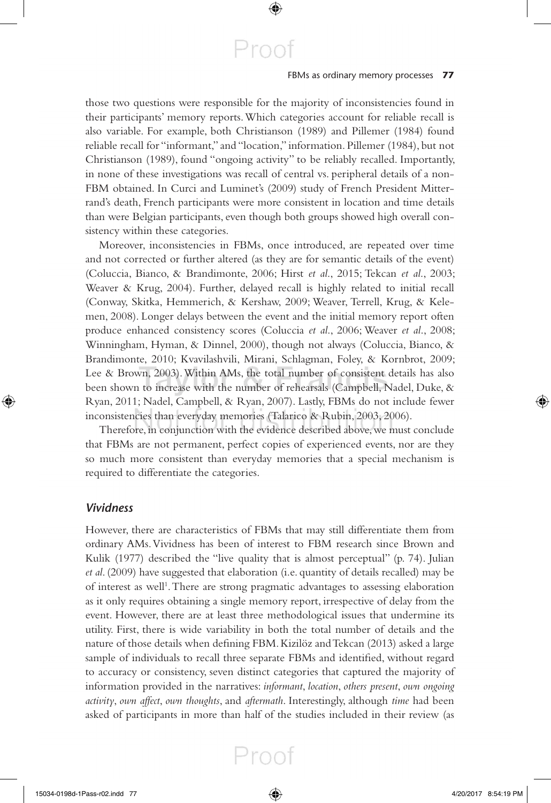$\bigoplus$ 

#### FBMs as ordinary memory processes **77**

those two questions were responsible for the majority of inconsistencies found in their participants' memory reports. Which categories account for reliable recall is also variable. For example, both Christianson (1989) and Pillemer (1984) found reliable recall for "informant," and "location," information. Pillemer (1984), but not Christianson (1989), found "ongoing activity" to be reliably recalled. Importantly, in none of these investigations was recall of central vs. peripheral details of a non-FBM obtained. In Curci and Luminet's (2009) study of French President Mitterrand's death, French participants were more consistent in location and time details than were Belgian participants, even though both groups showed high overall consistency within these categories.

Moreover, inconsistencies in FBMs, once introduced, are repeated over time and not corrected or further altered (as they are for semantic details of the event) (Coluccia, Bianco, & Brandimonte, 2006; Hirst *et al*., 2015; Tekcan *et al*., 2003; Weaver & Krug, 2004). Further, delayed recall is highly related to initial recall (Conway, Skitka, Hemmerich, & Kershaw, 2009; Weaver, Terrell, Krug, & Kelemen, 2008). Longer delays between the event and the initial memory report often produce enhanced consistency scores (Coluccia *et al*., 2006; Weaver *et al*., 2008; Winningham, Hyman, & Dinnel, 2000), though not always (Coluccia, Bianco, & Brandimonte, 2010; Kvavilashvili, Mirani, Schlagman, Foley, & Kornbrot, 2009; Lee & Brown, 2003). Within AMs, the total number of consistent details has also been shown to increase with the number of rehearsals (Campbell, Nadel, Duke, & Ryan, 2011; Nadel, Campbell, & Ryan, 2007). Lastly, FBMs do not include fewer inconsistencies than everyday memories (Talarico & Rubin, 2003, 2006).

Therefore, in conjunction with the evidence described above, we must conclude that FBMs are not permanent, perfect copies of experienced events, nor are they so much more consistent than everyday memories that a special mechanism is required to differentiate the categories.

#### *Vividness*

⊕

However, there are characteristics of FBMs that may still differentiate them from ordinary AMs. Vividness has been of interest to FBM research since Brown and Kulik (1977) described the "live quality that is almost perceptual" (p. 74). Julian *et al*. (2009) have suggested that elaboration (i.e. quantity of details recalled) may be of interest as well<sup>1</sup>. There are strong pragmatic advantages to assessing elaboration as it only requires obtaining a single memory report, irrespective of delay from the event. However, there are at least three methodological issues that undermine its utility. First, there is wide variability in both the total number of details and the nature of those details when defining FBM. Kizilöz and Tekcan (2013) asked a large sample of individuals to recall three separate FBMs and identified, without regard to accuracy or consistency, seven distinct categories that captured the majority of information provided in the narratives: *informant*, *location*, *others present*, *own ongoing activity*, *own affect*, *own thoughts*, and *aftermath*. Interestingly, although *time* had been asked of participants in more than half of the studies included in their review (as

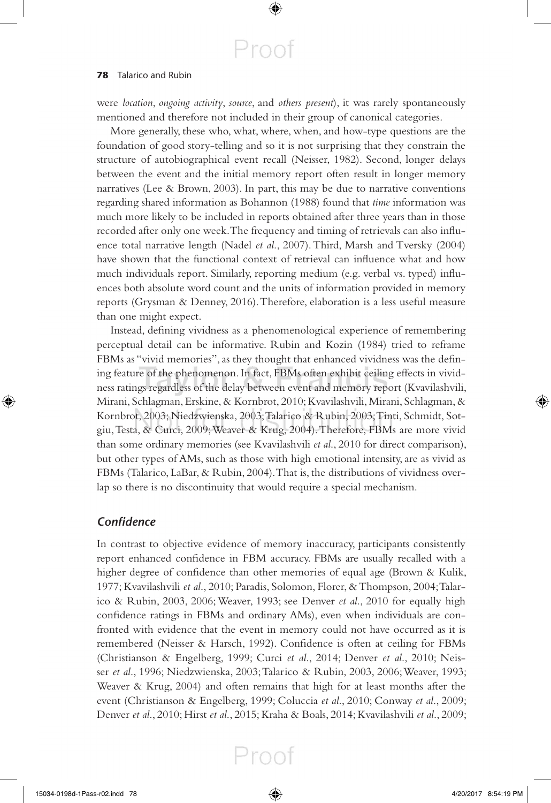⊕

#### **78** Talarico and Rubin

were *location*, *ongoing activity*, *source*, and *others present*), it was rarely spontaneously mentioned and therefore not included in their group of canonical categories.

More generally, these who, what, where, when, and how-type questions are the foundation of good story-telling and so it is not surprising that they constrain the structure of autobiographical event recall (Neisser, 1982). Second, longer delays between the event and the initial memory report often result in longer memory narratives (Lee & Brown, 2003). In part, this may be due to narrative conventions regarding shared information as Bohannon (1988) found that *time* information was much more likely to be included in reports obtained after three years than in those recorded after only one week. The frequency and timing of retrievals can also influence total narrative length (Nadel *et al*., 2007). Third, Marsh and Tversky (2004) have shown that the functional context of retrieval can influence what and how much individuals report. Similarly, reporting medium (e.g. verbal vs. typed) influences both absolute word count and the units of information provided in memory reports (Grysman & Denney, 2016). Therefore, elaboration is a less useful measure than one might expect.

Instead, defining vividness as a phenomenological experience of remembering perceptual detail can be informative. Rubin and Kozin (1984) tried to reframe FBMs as "vivid memories", as they thought that enhanced vividness was the defining feature of the phenomenon. In fact, FBMs often exhibit ceiling effects in vividness ratings regardless of the delay between event and memory report (Kvavilashvili, Mirani, Schlagman, Erskine, & Kornbrot, 2010; Kvavilashvili, Mirani, Schlagman, & Kornbrot, 2003; Niedzwienska, 2003; Talarico & Rubin, 2003; Tinti, Schmidt, Sotgiu, Testa, & Curci, 2009; Weaver & Krug, 2004). Therefore, FBMs are more vivid than some ordinary memories (see Kvavilashvili *et al*., 2010 for direct comparison), but other types of AMs, such as those with high emotional intensity, are as vivid as FBMs (Talarico, LaBar, & Rubin, 2004). That is, the distributions of vividness overlap so there is no discontinuity that would require a special mechanism.

#### *Confidence*

⊕

In contrast to objective evidence of memory inaccuracy, participants consistently report enhanced confidence in FBM accuracy. FBMs are usually recalled with a higher degree of confidence than other memories of equal age (Brown & Kulik, 1977; Kvavilashvili *et al*., 2010; Paradis, Solomon, Florer, & Thompson, 2004; Talarico & Rubin, 2003, 2006; Weaver, 1993; see Denver *et al*., 2010 for equally high confidence ratings in FBMs and ordinary AMs), even when individuals are confronted with evidence that the event in memory could not have occurred as it is remembered (Neisser & Harsch, 1992). Confidence is often at ceiling for FBMs (Christianson & Engelberg, 1999; Curci *et al*., 2014; Denver *et al*., 2010; Neisser *et al*., 1996; Niedzwienska, 2003; Talarico & Rubin, 2003, 2006; Weaver, 1993; Weaver & Krug, 2004) and often remains that high for at least months after the event (Christianson & Engelberg, 1999; Coluccia *et al*., 2010; Conway *et al*., 2009; Denver *et al*., 2010; Hirst *et al*., 2015; Kraha & Boals, 2014; Kvavilashvili *et al*., 2009;

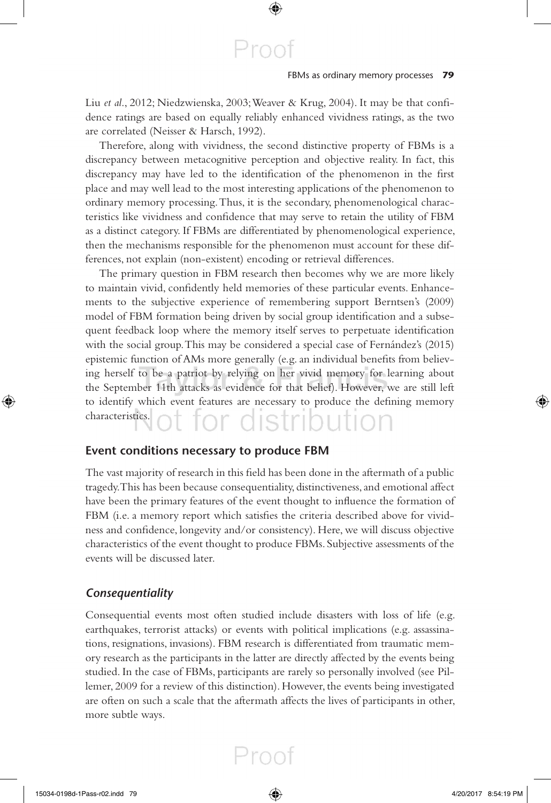$\bigoplus$ 

Liu *et al*., 2012; Niedzwienska, 2003; Weaver & Krug, 2004). It may be that confidence ratings are based on equally reliably enhanced vividness ratings, as the two are correlated (Neisser & Harsch, 1992).

Therefore, along with vividness, the second distinctive property of FBMs is a discrepancy between metacognitive perception and objective reality. In fact, this discrepancy may have led to the identification of the phenomenon in the first place and may well lead to the most interesting applications of the phenomenon to ordinary memory processing. Thus, it is the secondary, phenomenological characteristics like vividness and confidence that may serve to retain the utility of FBM as a distinct category. If FBMs are differentiated by phenomenological experience, then the mechanisms responsible for the phenomenon must account for these differences, not explain (non-existent) encoding or retrieval differences.

The primary question in FBM research then becomes why we are more likely to maintain vivid, confidently held memories of these particular events. Enhancements to the subjective experience of remembering support Berntsen's (2009) model of FBM formation being driven by social group identification and a subsequent feedback loop where the memory itself serves to perpetuate identification with the social group. This may be considered a special case of Fernández's (2015) epistemic function of AMs more generally (e.g. an individual benefits from believing herself to be a patriot by relying on her vivid memory for learning about the September 11th attacks as evidence for that belief). However, we are still left to identify which event features are necessary to produce the defining memory characteristics. distribution

#### **Event conditions necessary to produce FBM**

The vast majority of research in this field has been done in the aftermath of a public tragedy. This has been because consequentiality, distinctiveness, and emotional affect have been the primary features of the event thought to influence the formation of FBM (i.e. a memory report which satisfies the criteria described above for vividness and confidence, longevity and/or consistency). Here, we will discuss objective characteristics of the event thought to produce FBMs. Subjective assessments of the events will be discussed later.

#### *Consequentiality*

Consequential events most often studied include disasters with loss of life (e.g. earthquakes, terrorist attacks) or events with political implications (e.g. assassinations, resignations, invasions). FBM research is differentiated from traumatic memory research as the participants in the latter are directly affected by the events being studied. In the case of FBMs, participants are rarely so personally involved (see Pillemer, 2009 for a review of this distinction). However, the events being investigated are often on such a scale that the aftermath affects the lives of participants in other, more subtle ways.



⊕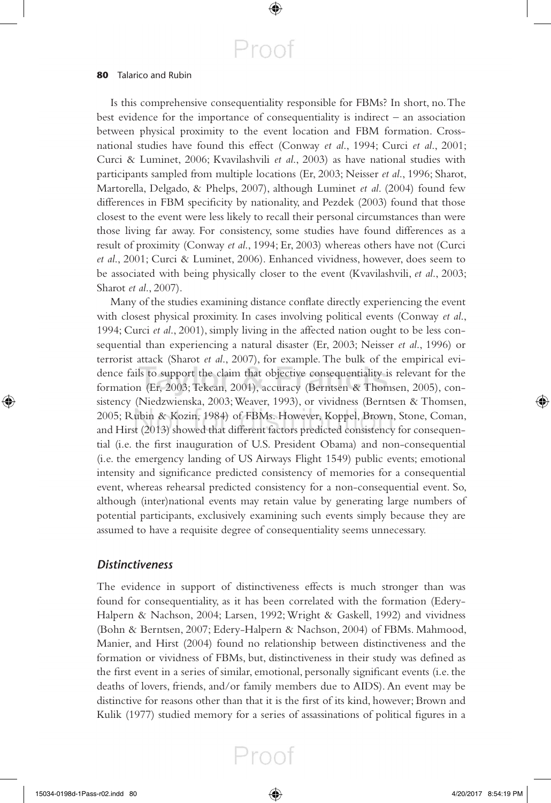$\bigoplus$ 

#### **80** Talarico and Rubin

Is this comprehensive consequentiality responsible for FBMs? In short, no. The best evidence for the importance of consequentiality is indirect – an association between physical proximity to the event location and FBM formation. Crossnational studies have found this effect (Conway *et al*., 1994; Curci *et al*., 2001; Curci & Luminet, 2006; Kvavilashvili *et al*., 2003) as have national studies with participants sampled from multiple locations (Er, 2003; Neisser *et al*., 1996; Sharot, Martorella, Delgado, & Phelps, 2007), although Luminet *et al*. (2004) found few differences in FBM specificity by nationality, and Pezdek (2003) found that those closest to the event were less likely to recall their personal circumstances than were those living far away. For consistency, some studies have found differences as a result of proximity (Conway *et al*., 1994; Er, 2003) whereas others have not (Curci *et al*., 2001; Curci & Luminet, 2006). Enhanced vividness, however, does seem to be associated with being physically closer to the event (Kvavilashvili, *et al*., 2003; Sharot *et al*., 2007).

Many of the studies examining distance conflate directly experiencing the event with closest physical proximity. In cases involving political events (Conway *et al*., 1994; Curci *et al*., 2001), simply living in the affected nation ought to be less consequential than experiencing a natural disaster (Er, 2003; Neisser *et al*., 1996) or terrorist attack (Sharot *et al*., 2007), for example. The bulk of the empirical evidence fails to support the claim that objective consequentiality is relevant for the formation (Er, 2003; Tekcan, 2001), accuracy (Berntsen & Thomsen, 2005), consistency (Niedzwienska, 2003; Weaver, 1993), or vividness (Berntsen & Thomsen, 2005; Rubin & Kozin, 1984) of FBMs. However, Koppel, Brown, Stone, Coman, and Hirst (2013) showed that different factors predicted consistency for consequential (i.e. the first inauguration of U.S. President Obama) and non-consequential (i.e. the emergency landing of US Airways Flight 1549) public events; emotional intensity and significance predicted consistency of memories for a consequential event, whereas rehearsal predicted consistency for a non-consequential event. So, although (inter)national events may retain value by generating large numbers of potential participants, exclusively examining such events simply because they are assumed to have a requisite degree of consequentiality seems unnecessary.

#### *Distinctiveness*

The evidence in support of distinctiveness effects is much stronger than was found for consequentiality, as it has been correlated with the formation (Edery-Halpern & Nachson, 2004; Larsen, 1992; Wright & Gaskell, 1992) and vividness (Bohn & Berntsen, 2007; Edery-Halpern & Nachson, 2004) of FBMs. Mahmood, Manier, and Hirst (2004) found no relationship between distinctiveness and the formation or vividness of FBMs, but, distinctiveness in their study was defined as the first event in a series of similar, emotional, personally significant events (i.e. the deaths of lovers, friends, and/or family members due to AIDS). An event may be distinctive for reasons other than that it is the first of its kind, however; Brown and Kulik (1977) studied memory for a series of assassinations of political figures in a



⊕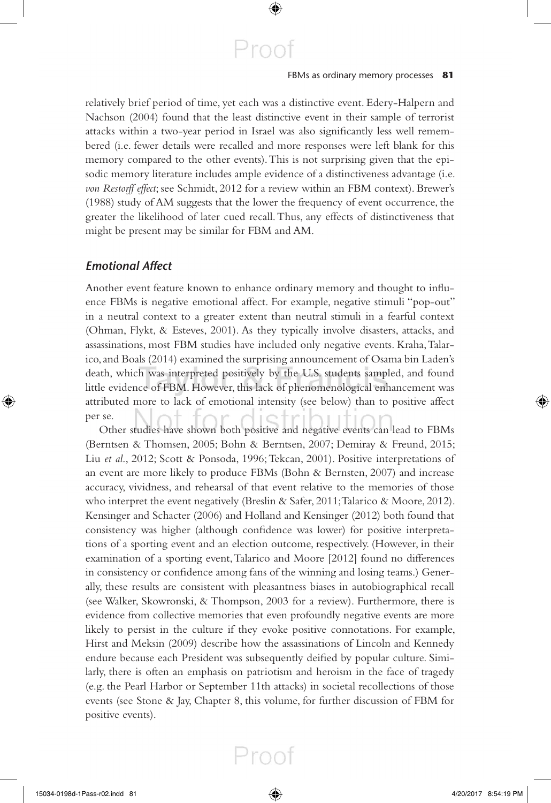$\bigoplus$ 

#### FBMs as ordinary memory processes **81**

relatively brief period of time, yet each was a distinctive event. Edery-Halpern and Nachson (2004) found that the least distinctive event in their sample of terrorist attacks within a two-year period in Israel was also significantly less well remembered (i.e. fewer details were recalled and more responses were left blank for this memory compared to the other events). This is not surprising given that the episodic memory literature includes ample evidence of a distinctiveness advantage (i.e. *von Restorff effect*; see Schmidt, 2012 for a review within an FBM context). Brewer's (1988) study of AM suggests that the lower the frequency of event occurrence, the greater the likelihood of later cued recall. Thus, any effects of distinctiveness that might be present may be similar for FBM and AM.

#### *Emotional Affect*

⊕

Another event feature known to enhance ordinary memory and thought to influence FBMs is negative emotional affect. For example, negative stimuli "pop-out" in a neutral context to a greater extent than neutral stimuli in a fearful context (Ohman, Flykt, & Esteves, 2001). As they typically involve disasters, attacks, and assassinations, most FBM studies have included only negative events. Kraha, Talarico, and Boals (2014) examined the surprising announcement of Osama bin Laden's death, which was interpreted positively by the U.S. students sampled, and found little evidence of FBM. However, this lack of phenomenological enhancement was attributed more to lack of emotional intensity (see below) than to positive affect per se.

Other studies have shown both positive and negative events can lead to FBMs (Berntsen & Thomsen, 2005; Bohn & Berntsen, 2007; Demiray & Freund, 2015; Liu *et al*., 2012; Scott & Ponsoda, 1996; Tekcan, 2001). Positive interpretations of an event are more likely to produce FBMs (Bohn & Bernsten, 2007) and increase accuracy, vividness, and rehearsal of that event relative to the memories of those who interpret the event negatively (Breslin & Safer, 2011; Talarico & Moore, 2012). Kensinger and Schacter (2006) and Holland and Kensinger (2012) both found that consistency was higher (although confidence was lower) for positive interpretations of a sporting event and an election outcome, respectively. (However, in their examination of a sporting event, Talarico and Moore [2012] found no differences in consistency or confidence among fans of the winning and losing teams.) Generally, these results are consistent with pleasantness biases in autobiographical recall (see Walker, Skowronski, & Thompson, 2003 for a review). Furthermore, there is evidence from collective memories that even profoundly negative events are more likely to persist in the culture if they evoke positive connotations. For example, Hirst and Meksin (2009) describe how the assassinations of Lincoln and Kennedy endure because each President was subsequently deified by popular culture. Similarly, there is often an emphasis on patriotism and heroism in the face of tragedy (e.g. the Pearl Harbor or September 11th attacks) in societal recollections of those events (see Stone & Jay, Chapter 8, this volume, for further discussion of FBM for positive events).

⊕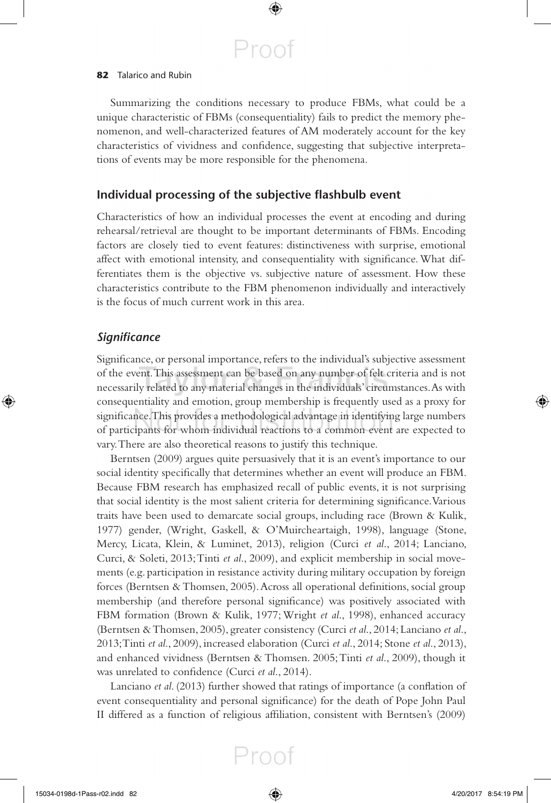#### **82** Talarico and Rubin

Summarizing the conditions necessary to produce FBMs, what could be a unique characteristic of FBMs (consequentiality) fails to predict the memory phenomenon, and well-characterized features of AM moderately account for the key characteristics of vividness and confidence, suggesting that subjective interpretations of events may be more responsible for the phenomena.

 $\bigoplus$ 

Proof

#### **Individual processing of the subjective flashbulb event**

Characteristics of how an individual processes the event at encoding and during rehearsal/retrieval are thought to be important determinants of FBMs. Encoding factors are closely tied to event features: distinctiveness with surprise, emotional affect with emotional intensity, and consequentiality with significance. What differentiates them is the objective vs. subjective nature of assessment. How these characteristics contribute to the FBM phenomenon individually and interactively is the focus of much current work in this area.

#### *Significance*

⊕

Significance, or personal importance, refers to the individual's subjective assessment of the event. This assessment can be based on any number of felt criteria and is not necessarily related to any material changes in the individuals' circumstances. As with consequentiality and emotion, group membership is frequently used as a proxy for significance. This provides a methodological advantage in identifying large numbers of participants for whom individual reactions to a common event are expected to vary. There are also theoretical reasons to justify this technique.

Berntsen (2009) argues quite persuasively that it is an event's importance to our social identity specifically that determines whether an event will produce an FBM. Because FBM research has emphasized recall of public events, it is not surprising that social identity is the most salient criteria for determining significance. Various traits have been used to demarcate social groups, including race (Brown & Kulik, 1977) gender, (Wright, Gaskell, & O'Muircheartaigh, 1998), language (Stone, Mercy, Licata, Klein, & Luminet, 2013), religion (Curci *et al*., 2014; Lanciano, Curci, & Soleti, 2013; Tinti *et al*., 2009), and explicit membership in social movements (e.g. participation in resistance activity during military occupation by foreign forces (Berntsen & Thomsen, 2005). Across all operational definitions, social group membership (and therefore personal significance) was positively associated with FBM formation (Brown & Kulik, 1977; Wright *et al*., 1998), enhanced accuracy (Berntsen & Thomsen, 2005), greater consistency (Curci *et al*., 2014; Lanciano *et al*., 2013; Tinti *et al*., 2009), increased elaboration (Curci *et al*., 2014; Stone *et al*., 2013), and enhanced vividness (Berntsen & Thomsen. 2005; Tinti *et al*., 2009), though it was unrelated to confidence (Curci *et al*., 2014).

Lanciano *et al*. (2013) further showed that ratings of importance (a conflation of event consequentiality and personal significance) for the death of Pope John Paul II differed as a function of religious affiliation, consistent with Berntsen's (2009)

⊕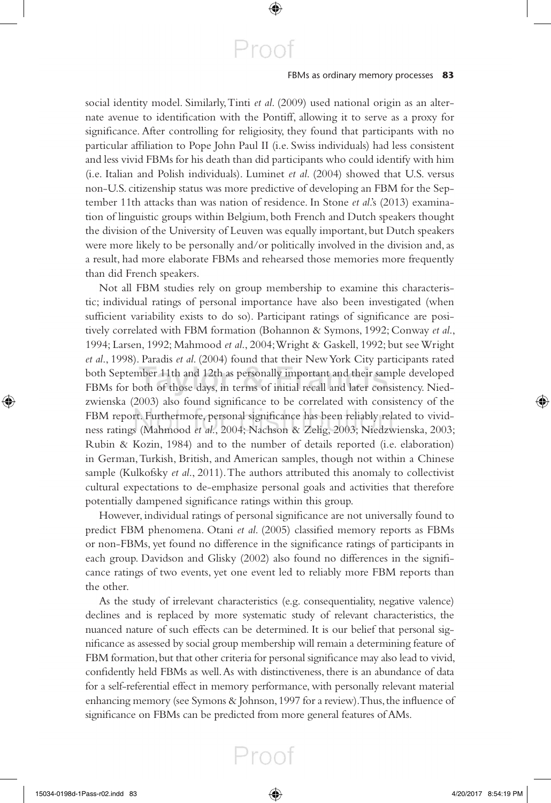$\bigoplus$ 

#### FBMs as ordinary memory processes **83**

social identity model. Similarly, Tinti *et al*. (2009) used national origin as an alternate avenue to identification with the Pontiff, allowing it to serve as a proxy for significance. After controlling for religiosity, they found that participants with no particular affiliation to Pope John Paul II (i.e. Swiss individuals) had less consistent and less vivid FBMs for his death than did participants who could identify with him (i.e. Italian and Polish individuals). Luminet *et al*. (2004) showed that U.S. versus non-U.S. citizenship status was more predictive of developing an FBM for the September 11th attacks than was nation of residence. In Stone *et al*.'s (2013) examination of linguistic groups within Belgium, both French and Dutch speakers thought the division of the University of Leuven was equally important, but Dutch speakers were more likely to be personally and/or politically involved in the division and, as a result, had more elaborate FBMs and rehearsed those memories more frequently than did French speakers.

Not all FBM studies rely on group membership to examine this characteristic; individual ratings of personal importance have also been investigated (when sufficient variability exists to do so). Participant ratings of significance are positively correlated with FBM formation (Bohannon & Symons, 1992; Conway *et al*., 1994; Larsen, 1992; Mahmood *et al*., 2004; Wright & Gaskell, 1992; but see Wright *et al*., 1998). Paradis *et al*. (2004) found that their New York City participants rated both September 11th and 12th as personally important and their sample developed FBMs for both of those days, in terms of initial recall and later consistency. Niedzwienska (2003) also found significance to be correlated with consistency of the FBM report. Furthermore, personal significance has been reliably related to vividness ratings (Mahmood *et al*., 2004; Nachson & Zelig, 2003; Niedzwienska, 2003; Rubin & Kozin, 1984) and to the number of details reported (i.e. elaboration) in German, Turkish, British, and American samples, though not within a Chinese sample (Kulkofsky *et al*., 2011). The authors attributed this anomaly to collectivist cultural expectations to de-emphasize personal goals and activities that therefore potentially dampened significance ratings within this group.

However, individual ratings of personal significance are not universally found to predict FBM phenomena. Otani *et al*. (2005) classified memory reports as FBMs or non-FBMs, yet found no difference in the significance ratings of participants in each group. Davidson and Glisky (2002) also found no differences in the significance ratings of two events, yet one event led to reliably more FBM reports than the other.

As the study of irrelevant characteristics (e.g. consequentiality, negative valence) declines and is replaced by more systematic study of relevant characteristics, the nuanced nature of such effects can be determined. It is our belief that personal significance as assessed by social group membership will remain a determining feature of FBM formation, but that other criteria for personal significance may also lead to vivid, confidently held FBMs as well. As with distinctiveness, there is an abundance of data for a self-referential effect in memory performance, with personally relevant material enhancing memory (see Symons & Johnson, 1997 for a review). Thus, the influence of significance on FBMs can be predicted from more general features of AMs.



⊕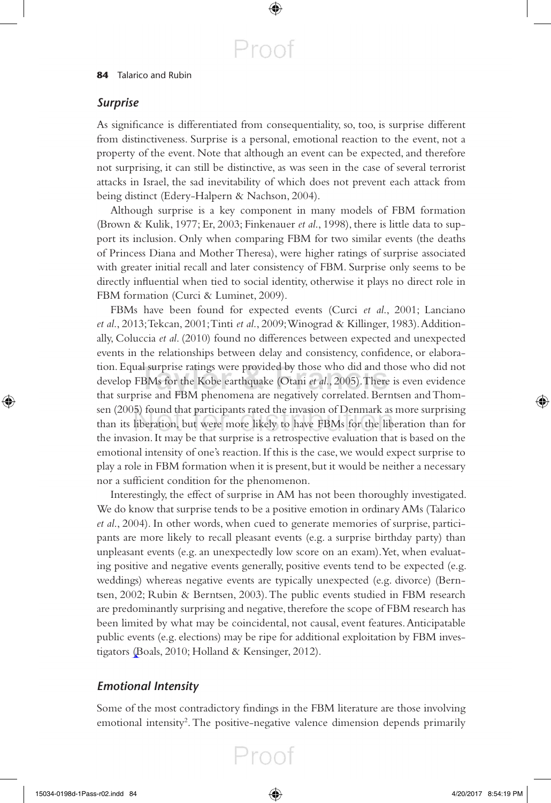#### **84** Talarico and Rubin

#### *Surprise*

As significance is differentiated from consequentiality, so, too, is surprise different from distinctiveness. Surprise is a personal, emotional reaction to the event, not a property of the event. Note that although an event can be expected, and therefore not surprising, it can still be distinctive, as was seen in the case of several terrorist attacks in Israel, the sad inevitability of which does not prevent each attack from being distinct (Edery-Halpern & Nachson, 2004).

⊕

Proof

Although surprise is a key component in many models of FBM formation (Brown & Kulik, 1977; Er, 2003; Finkenauer *et al*., 1998), there is little data to support its inclusion. Only when comparing FBM for two similar events (the deaths of Princess Diana and Mother Theresa), were higher ratings of surprise associated with greater initial recall and later consistency of FBM. Surprise only seems to be directly influential when tied to social identity, otherwise it plays no direct role in FBM formation (Curci & Luminet, 2009).

FBMs have been found for expected events (Curci *et al*., 2001; Lanciano *et al*., 2013; Tekcan, 2001; Tinti *et al*., 2009; Winograd & Killinger, 1983). Additionally, Coluccia *et al*. (2010) found no differences between expected and unexpected events in the relationships between delay and consistency, confidence, or elaboration. Equal surprise ratings were provided by those who did and those who did not develop FBMs for the Kobe earthquake (Otani *et al*., 2005). There is even evidence that surprise and FBM phenomena are negatively correlated. Berntsen and Thomsen (2005) found that participants rated the invasion of Denmark as more surprising than its liberation, but were more likely to have FBMs for the liberation than for the invasion. It may be that surprise is a retrospective evaluation that is based on the emotional intensity of one's reaction. If this is the case, we would expect surprise to play a role in FBM formation when it is present, but it would be neither a necessary nor a sufficient condition for the phenomenon.

Interestingly, the effect of surprise in AM has not been thoroughly investigated. We do know that surprise tends to be a positive emotion in ordinary AMs (Talarico *et al*., 2004). In other words, when cued to generate memories of surprise, participants are more likely to recall pleasant events (e.g. a surprise birthday party) than unpleasant events (e.g. an unexpectedly low score on an exam). Yet, when evaluating positive and negative events generally, positive events tend to be expected (e.g. weddings) whereas negative events are typically unexpected (e.g. divorce) (Berntsen, 2002; Rubin & Berntsen, 2003). The public events studied in FBM research are predominantly surprising and negative, therefore the scope of FBM research has been limited by what may be coincidental, not causal, event features. Anticipatable public events (e.g. elections) may be ripe for additional exploitation by FBM investigators (Boals, 2010; Holland & Kensinger, 2012).

#### *Emotional Intensity*

Some of the most contradictory findings in the FBM literature are those involving emotional intensity<sup>2</sup>. The positive-negative valence dimension depends primarily



⊕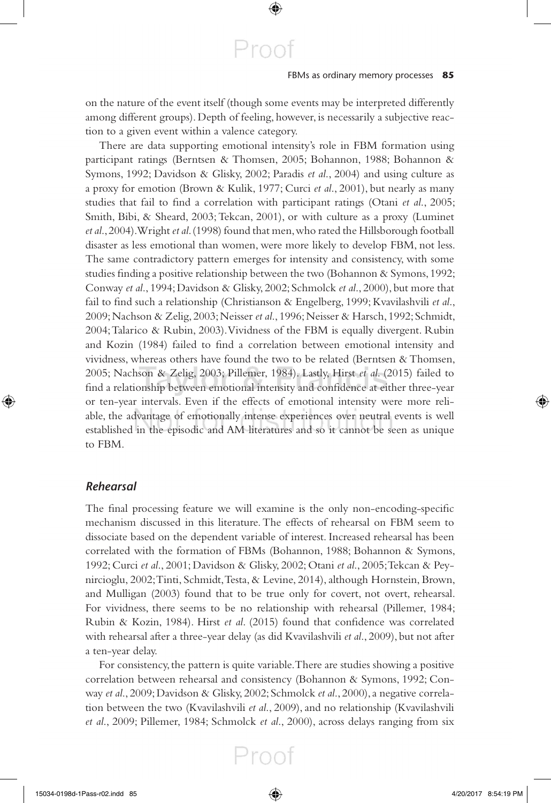$\bigoplus$ 

on the nature of the event itself (though some events may be interpreted differently among different groups). Depth of feeling, however, is necessarily a subjective reaction to a given event within a valence category.

There are data supporting emotional intensity's role in FBM formation using participant ratings (Berntsen & Thomsen, 2005; Bohannon, 1988; Bohannon & Symons, 1992; Davidson & Glisky, 2002; Paradis *et al*., 2004) and using culture as a proxy for emotion (Brown & Kulik, 1977; Curci *et al*., 2001), but nearly as many studies that fail to find a correlation with participant ratings (Otani *et al*., 2005; Smith, Bibi, & Sheard, 2003; Tekcan, 2001), or with culture as a proxy (Luminet *et al*., 2004). Wright *et al*. (1998) found that men, who rated the Hillsborough football disaster as less emotional than women, were more likely to develop FBM, not less. The same contradictory pattern emerges for intensity and consistency, with some studies finding a positive relationship between the two (Bohannon & Symons, 1992; Conway *et al*., 1994; Davidson & Glisky, 2002; Schmolck *et al*., 2000), but more that fail to find such a relationship (Christianson & Engelberg, 1999; Kvavilashvili *et al*., 2009; Nachson & Zelig, 2003; Neisser *et al*., 1996; Neisser & Harsch, 1992; Schmidt, 2004; Talarico & Rubin, 2003). Vividness of the FBM is equally divergent. Rubin and Kozin (1984) failed to find a correlation between emotional intensity and vividness, whereas others have found the two to be related (Berntsen & Thomsen, 2005; Nachson & Zelig, 2003; Pillemer, 1984). Lastly, Hirst *et al*. (2015) failed to find a relationship between emotional intensity and confidence at either three-year or ten-year intervals. Even if the effects of emotional intensity were more reliable, the advantage of emotionally intense experiences over neutral events is well established in the episodic and AM literatures and so it cannot be seen as unique to FBM.

#### *Rehearsal*

⊕

The final processing feature we will examine is the only non-encoding-specific mechanism discussed in this literature. The effects of rehearsal on FBM seem to dissociate based on the dependent variable of interest. Increased rehearsal has been correlated with the formation of FBMs (Bohannon, 1988; Bohannon & Symons, 1992; Curci *et al*., 2001; Davidson & Glisky, 2002; Otani *et al*., 2005; Tekcan & Peynircioglu, 2002; Tinti, Schmidt, Testa, & Levine, 2014), although Hornstein, Brown, and Mulligan (2003) found that to be true only for covert, not overt, rehearsal. For vividness, there seems to be no relationship with rehearsal (Pillemer, 1984; Rubin & Kozin, 1984). Hirst *et al*. (2015) found that confidence was correlated with rehearsal after a three-year delay (as did Kvavilashvili *et al*., 2009), but not after a ten-year delay.

For consistency, the pattern is quite variable. There are studies showing a positive correlation between rehearsal and consistency (Bohannon & Symons, 1992; Conway *et al*., 2009; Davidson & Glisky, 2002; Schmolck *et al*., 2000), a negative correlation between the two (Kvavilashvili *et al*., 2009), and no relationship (Kvavilashvili *et al*., 2009; Pillemer, 1984; Schmolck *et al*., 2000), across delays ranging from six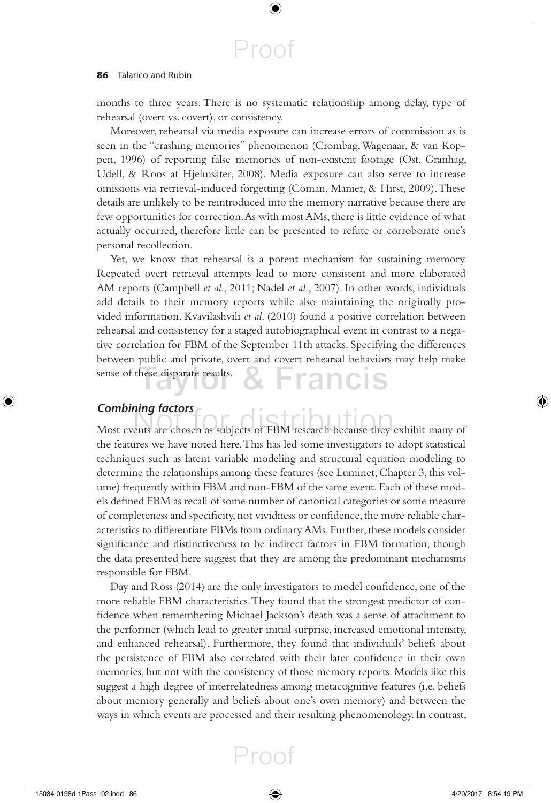$\bigoplus$ 

#### **86** Talarico and Rubin

months to three years. There is no systematic relationship among delay, type of rehearsal (overt vs. covert), or consistency.

Moreover, rehearsal via media exposure can increase errors of commission as is seen in the "crashing memories" phenomenon (Crombag, Wagenaar, & van Koppen, 1996) of reporting false memories of non-existent footage (Ost, Granhag, Udell, & Roos af Hjelmsäter, 2008). Media exposure can also serve to increase omissions via retrieval-induced forgetting (Coman, Manier, & Hirst, 2009). These details are unlikely to be reintroduced into the memory narrative because there are few opportunities for correction. As with most AMs, there is little evidence of what actually occurred, therefore little can be presented to refute or corroborate one's personal recollection.

Yet, we know that rehearsal is a potent mechanism for sustaining memory. Repeated overt retrieval attempts lead to more consistent and more elaborated AM reports (Campbell *et al*., 2011; Nadel *et al*., 2007). In other words, individuals add details to their memory reports while also maintaining the originally provided information. Kvavilashvili *et al*. (2010) found a positive correlation between rehearsal and consistency for a staged autobiographical event in contrast to a negative correlation for FBM of the September 11th attacks. Specifying the differences between public and private, overt and covert rehearsal behaviors may help make sense of these disparate results. **Francis** 

#### *Combining factors*

⊕

Most events are chosen as subjects of FBM research because they exhibit many of the features we have noted here. This has led some investigators to adopt statistical techniques such as latent variable modeling and structural equation modeling to determine the relationships among these features (see Luminet, Chapter 3, this volume) frequently within FBM and non-FBM of the same event. Each of these models defined FBM as recall of some number of canonical categories or some measure of completeness and specificity, not vividness or confidence, the more reliable characteristics to differentiate FBMs from ordinary AMs. Further, these models consider significance and distinctiveness to be indirect factors in FBM formation, though the data presented here suggest that they are among the predominant mechanisms responsible for FBM.

Day and Ross (2014) are the only investigators to model confidence, one of the more reliable FBM characteristics. They found that the strongest predictor of confidence when remembering Michael Jackson's death was a sense of attachment to the performer (which lead to greater initial surprise, increased emotional intensity, and enhanced rehearsal). Furthermore, they found that individuals' beliefs about the persistence of FBM also correlated with their later confidence in their own memories, but not with the consistency of those memory reports. Models like this suggest a high degree of interrelatedness among metacognitive features (i.e. beliefs about memory generally and beliefs about one's own memory) and between the ways in which events are processed and their resulting phenomenology. In contrast,

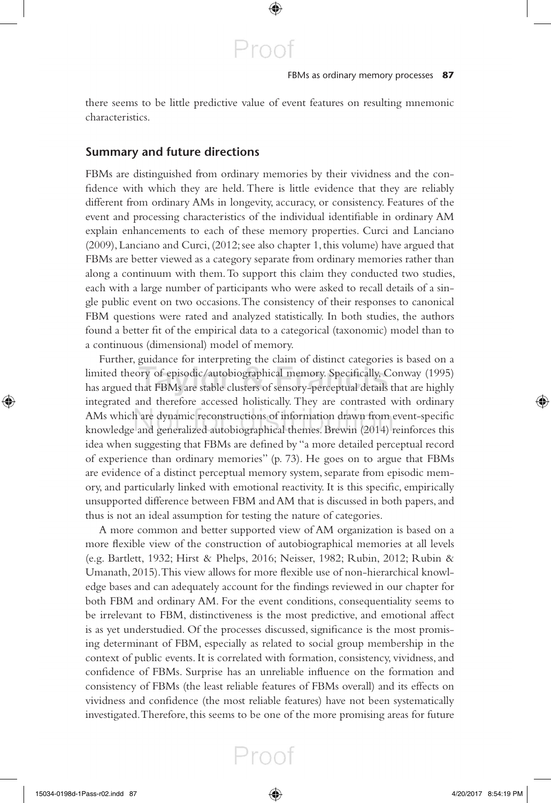there seems to be little predictive value of event features on resulting mnemonic characteristics.

Proof

 $\bigoplus$ 

#### **Summary and future directions**

FBMs are distinguished from ordinary memories by their vividness and the confidence with which they are held. There is little evidence that they are reliably different from ordinary AMs in longevity, accuracy, or consistency. Features of the event and processing characteristics of the individual identifiable in ordinary AM explain enhancements to each of these memory properties. Curci and Lanciano (2009), Lanciano and Curci, (2012; see also chapter 1, this volume) have argued that FBMs are better viewed as a category separate from ordinary memories rather than along a continuum with them. To support this claim they conducted two studies, each with a large number of participants who were asked to recall details of a single public event on two occasions. The consistency of their responses to canonical FBM questions were rated and analyzed statistically. In both studies, the authors found a better fit of the empirical data to a categorical (taxonomic) model than to a continuous (dimensional) model of memory.

Further, guidance for interpreting the claim of distinct categories is based on a limited theory of episodic/autobiographical memory. Specifically, Conway (1995) has argued that FBMs are stable clusters of sensory-perceptual details that are highly integrated and therefore accessed holistically. They are contrasted with ordinary AMs which are dynamic reconstructions of information drawn from event-specific knowledge and generalized autobiographical themes. Brewin (2014) reinforces this idea when suggesting that FBMs are defined by "a more detailed perceptual record of experience than ordinary memories" (p. 73). He goes on to argue that FBMs are evidence of a distinct perceptual memory system, separate from episodic memory, and particularly linked with emotional reactivity. It is this specific, empirically unsupported difference between FBM and AM that is discussed in both papers, and thus is not an ideal assumption for testing the nature of categories.

A more common and better supported view of AM organization is based on a more flexible view of the construction of autobiographical memories at all levels (e.g. Bartlett, 1932; Hirst & Phelps, 2016; Neisser, 1982; Rubin, 2012; Rubin & Umanath, 2015). This view allows for more flexible use of non-hierarchical knowledge bases and can adequately account for the findings reviewed in our chapter for both FBM and ordinary AM. For the event conditions, consequentiality seems to be irrelevant to FBM, distinctiveness is the most predictive, and emotional affect is as yet understudied. Of the processes discussed, significance is the most promising determinant of FBM, especially as related to social group membership in the context of public events. It is correlated with formation, consistency, vividness, and confidence of FBMs. Surprise has an unreliable influence on the formation and consistency of FBMs (the least reliable features of FBMs overall) and its effects on vividness and confidence (the most reliable features) have not been systematically investigated. Therefore, this seems to be one of the more promising areas for future



⊕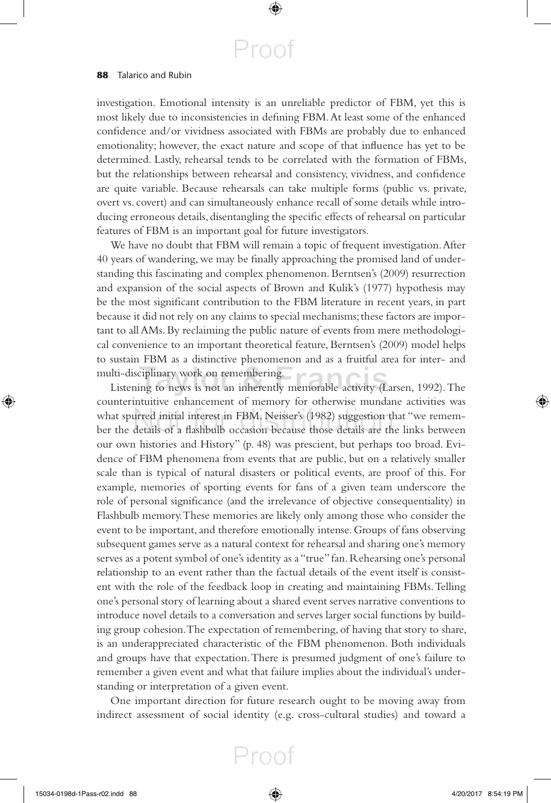$\bigoplus$ 

#### **88** Talarico and Rubin

investigation. Emotional intensity is an unreliable predictor of FBM, yet this is most likely due to inconsistencies in defining FBM. At least some of the enhanced confidence and/or vividness associated with FBMs are probably due to enhanced emotionality; however, the exact nature and scope of that influence has yet to be determined. Lastly, rehearsal tends to be correlated with the formation of FBMs, but the relationships between rehearsal and consistency, vividness, and confidence are quite variable. Because rehearsals can take multiple forms (public vs. private, overt vs. covert) and can simultaneously enhance recall of some details while introducing erroneous details, disentangling the specific effects of rehearsal on particular features of FBM is an important goal for future investigators.

We have no doubt that FBM will remain a topic of frequent investigation. After 40 years of wandering, we may be finally approaching the promised land of understanding this fascinating and complex phenomenon. Berntsen's (2009) resurrection and expansion of the social aspects of Brown and Kulik's (1977) hypothesis may be the most significant contribution to the FBM literature in recent years, in part because it did not rely on any claims to special mechanisms; these factors are important to all AMs. By reclaiming the public nature of events from mere methodological convenience to an important theoretical feature, Berntsen's (2009) model helps to sustain FBM as a distinctive phenomenon and as a fruitful area for inter- and multi-disciplinary work on remembering.

Listening to news is not an inherently memorable activity (Larsen, 1992). The counterintuitive enhancement of memory for otherwise mundane activities was what spurred initial interest in FBM. Neisser's (1982) suggestion that "we remember the details of a flashbulb occasion because those details are the links between our own histories and History" (p. 48) was prescient, but perhaps too broad. Evidence of FBM phenomena from events that are public, but on a relatively smaller scale than is typical of natural disasters or political events, are proof of this. For example, memories of sporting events for fans of a given team underscore the role of personal significance (and the irrelevance of objective consequentiality) in Flashbulb memory. These memories are likely only among those who consider the event to be important, and therefore emotionally intense. Groups of fans observing subsequent games serve as a natural context for rehearsal and sharing one's memory serves as a potent symbol of one's identity as a "true" fan. Rehearsing one's personal relationship to an event rather than the factual details of the event itself is consistent with the role of the feedback loop in creating and maintaining FBMs. Telling one's personal story of learning about a shared event serves narrative conventions to introduce novel details to a conversation and serves larger social functions by building group cohesion. The expectation of remembering, of having that story to share, is an underappreciated characteristic of the FBM phenomenon. Both individuals and groups have that expectation. There is presumed judgment of one's failure to remember a given event and what that failure implies about the individual's understanding or interpretation of a given event.

One important direction for future research ought to be moving away from indirect assessment of social identity (e.g. cross-cultural studies) and toward a

⊕

⊕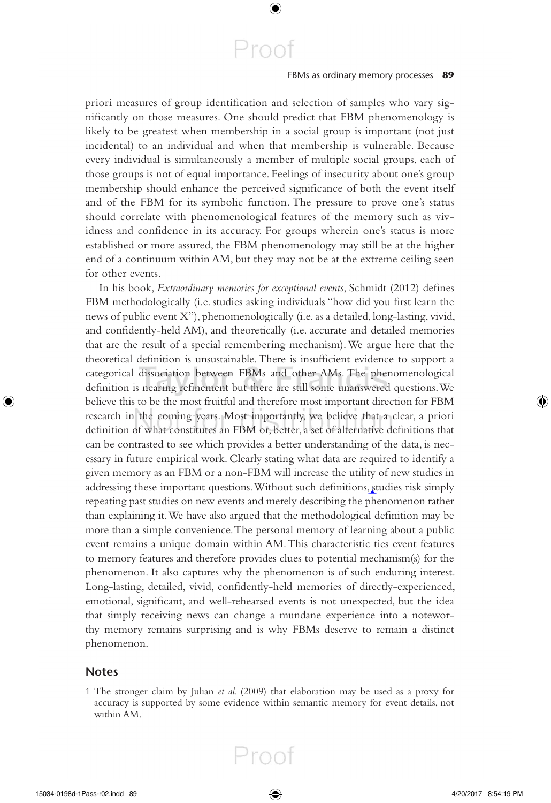$\bigoplus$ 

#### FBMs as ordinary memory processes **89**

priori measures of group identification and selection of samples who vary significantly on those measures. One should predict that FBM phenomenology is likely to be greatest when membership in a social group is important (not just incidental) to an individual and when that membership is vulnerable. Because every individual is simultaneously a member of multiple social groups, each of those groups is not of equal importance. Feelings of insecurity about one's group membership should enhance the perceived significance of both the event itself and of the FBM for its symbolic function. The pressure to prove one's status should correlate with phenomenological features of the memory such as vividness and confidence in its accuracy. For groups wherein one's status is more established or more assured, the FBM phenomenology may still be at the higher end of a continuum within AM, but they may not be at the extreme ceiling seen for other events.

In his book, *Extraordinary memories for exceptional events*, Schmidt (2012) defines FBM methodologically (i.e. studies asking individuals "how did you first learn the news of public event X"), phenomenologically (i.e. as a detailed, long-lasting, vivid, and confidently-held AM), and theoretically (i.e. accurate and detailed memories that are the result of a special remembering mechanism). We argue here that the theoretical definition is unsustainable. There is insufficient evidence to support a categorical dissociation between FBMs and other AMs. The phenomenological definition is nearing refinement but there are still some unanswered questions. We believe this to be the most fruitful and therefore most important direction for FBM research in the coming years. Most importantly, we believe that a clear, a priori definition of what constitutes an FBM or, better, a set of alternative definitions that can be contrasted to see which provides a better understanding of the data, is necessary in future empirical work. Clearly stating what data are required to identify a given memory as an FBM or a non-FBM will increase the utility of new studies in addressing these important questions. Without such definitions, studies risk simply repeating past studies on new events and merely describing the phenomenon rather than explaining it. We have also argued that the methodological definition may be more than a simple convenience. The personal memory of learning about a public event remains a unique domain within AM. This characteristic ties event features to memory features and therefore provides clues to potential mechanism(s) for the phenomenon. It also captures why the phenomenon is of such enduring interest. Long-lasting, detailed, vivid, confidently-held memories of directly-experienced, emotional, significant, and well-rehearsed events is not unexpected, but the idea that simply receiving news can change a mundane experience into a noteworthy memory remains surprising and is why FBMs deserve to remain a distinct phenomenon.

#### **Notes**

1 The stronger claim by Julian *et al*. (2009) that elaboration may be used as a proxy for accuracy is supported by some evidence within semantic memory for event details, not within AM.

⊕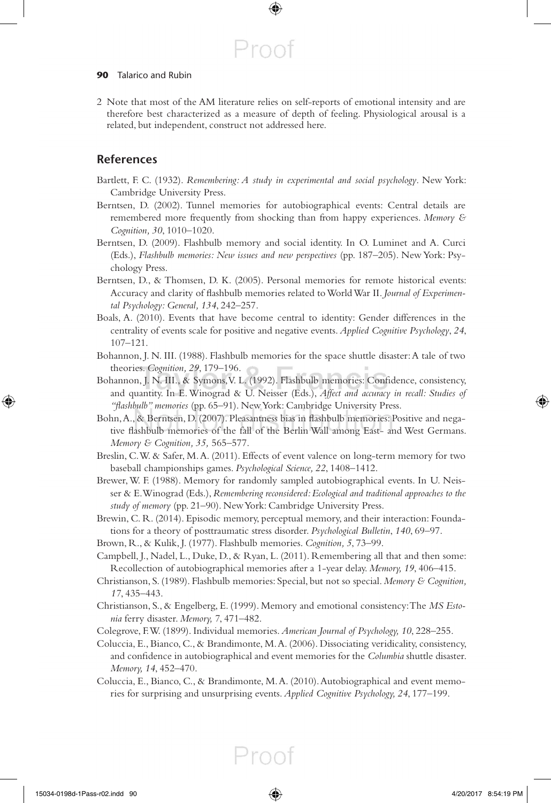#### **90** Talarico and Rubin

2 Note that most of the AM literature relies on self-reports of emotional intensity and are therefore best characterized as a measure of depth of feeling. Physiological arousal is a related, but independent, construct not addressed here.

Proof

#### **References**

- Bartlett, F. C. (1932). *Remembering: A study in experimental and social psychology*. New York: Cambridge University Press.
- Berntsen, D. (2002). Tunnel memories for autobiographical events: Central details are remembered more frequently from shocking than from happy experiences. *Memory & Cognition, 30*, 1010–1020.
- Berntsen, D. (2009). Flashbulb memory and social identity. In O. Luminet and A. Curci (Eds.), *Flashbulb memories: New issues and new perspectives* (pp. 187–205). New York: Psychology Press.
- Berntsen, D., & Thomsen, D. K. (2005). Personal memories for remote historical events: Accuracy and clarity of flashbulb memories related to World War II. *Journal of Experimental Psychology: General, 134*, 242–257.
- Boals, A. (2010). Events that have become central to identity: Gender differences in the centrality of events scale for positive and negative events. *Applied Cognitive Psychology*, *24*, 107–121.
- Bohannon, J. N. III. (1988). Flashbulb memories for the space shuttle disaster: A tale of two theories. *Cognition, 29*, 179–196.
- Bohannon, J. N. III., & Symons, V. L. (1992). Flashbulb memories: Confidence, consistency, and quantity. In E. Winograd & U. Neisser (Eds.), *Affect and accuracy in recall: Studies of "flashbulb" memories* (pp. 65–91). New York: Cambridge University Press.
- Bohn, A., & Berntsen, D. (2007). Pleasantness bias in flashbulb memories: Positive and negative flashbulb memories of the fall of the Berlin Wall among East- and West Germans. *Memory & Cognition, 35,* 565–577.
- Breslin, C. W. & Safer, M. A. (2011). Effects of event valence on long-term memory for two baseball championships games. *Psychological Science, 22*, 1408–1412.
- Brewer, W. F. (1988). Memory for randomly sampled autobiographical events. In U. Neisser & E. Winograd (Eds.), *Remembering reconsidered: Ecological and traditional approaches to the study of memory* (pp. 21–90). New York: Cambridge University Press.
- Brewin, C. R. (2014). Episodic memory, perceptual memory, and their interaction: Foundations for a theory of posttraumatic stress disorder. *Psychological Bulletin*, *140*, 69–97.
- Brown, R., & Kulik, J. (1977). Flashbulb memories. *Cognition, 5*, 73–99.

Campbell, J., Nadel, L., Duke, D., & Ryan, L. (2011). Remembering all that and then some: Recollection of autobiographical memories after a 1-year delay. *Memory, 19*, 406–415.

- Christianson, S. (1989). Flashbulb memories: Special, but not so special. *Memory & Cognition, 17*, 435–443.
- Christianson, S., & Engelberg, E. (1999). Memory and emotional consistency: The *MS Estonia* ferry disaster. *Memory, 7*, 471–482.

Colegrove, F. W. (1899). Individual memories. *American Journal of Psychology, 10*, 228–255.

- Coluccia, E., Bianco, C., & Brandimonte, M. A. (2006). Dissociating veridicality, consistency, and confidence in autobiographical and event memories for the *Columbia* shuttle disaster. *Memory, 14*, 452–470.
- Coluccia, E., Bianco, C., & Brandimonte, M. A. (2010). Autobiographical and event memories for surprising and unsurprising events. *Applied Cognitive Psychology, 24*, 177–199.

⊕

⊕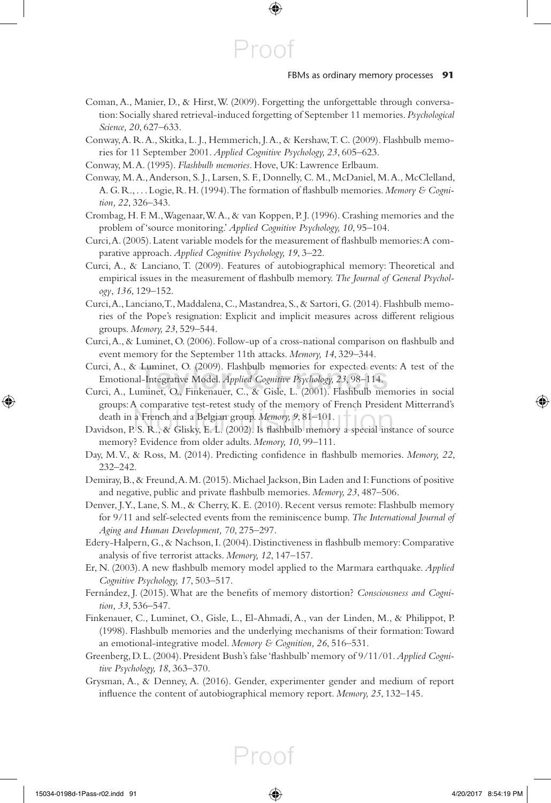#### FBMs as ordinary memory processes **91**

Coman, A., Manier, D., & Hirst, W. (2009). Forgetting the unforgettable through conversation: Socially shared retrieval-induced forgetting of September 11 memories. *Psychological Science, 20*, 627–633.

Proof

- Conway, A. R. A., Skitka, L. J., Hemmerich, J. A., & Kershaw, T. C. (2009). Flashbulb memories for 11 September 2001. *Applied Cognitive Psychology, 23*, 605–623.
- Conway, M. A. (1995). *Flashbulb memories*. Hove, UK: Lawrence Erlbaum.
- Conway, M. A., Anderson, S. J., Larsen, S. F., Donnelly, C. M., McDaniel, M. A., McClelland, A. G. R., . . . Logie, R. H. (1994). The formation of flashbulb memories. *Memory & Cognition, 22*, 326–343.
- Crombag, H. F. M., Wagenaar, W. A., & van Koppen, P. J. (1996). Crashing memories and the problem of 'source monitoring.' *Applied Cognitive Psychology, 10*, 95–104.
- Curci, A. (2005). Latent variable models for the measurement of flashbulb memories: A comparative approach. *Applied Cognitive Psychology, 19*, 3–22.
- Curci, A., & Lanciano, T. (2009). Features of autobiographical memory: Theoretical and empirical issues in the measurement of flashbulb memory. *The Journal of General Psychology*, *136*, 129–152.
- Curci, A., Lanciano, T., Maddalena, C., Mastandrea, S.,& Sartori, G. (2014). Flashbulb memories of the Pope's resignation: Explicit and implicit measures across different religious groups. *Memory, 23*, 529–544.
- Curci, A., & Luminet, O. (2006). Follow-up of a cross-national comparison on flashbulb and event memory for the September 11th attacks. *Memory, 14*, 329–344.
- Curci, A., & Luminet, O. (2009). Flashbulb memories for expected events: A test of the Emotional-Integrative Model. *Applied Cognitive Psychology, 23*, 98–114.
- Curci, A., Luminet, O., Finkenauer, C., & Gisle, L. (2001). Flashbulb memories in social groups: A comparative test-retest study of the memory of French President Mitterrand's death in a French and a Belgian group. *Memory, 9*, 81–101.
- Davidson, P. S. R., & Glisky, E. L. (2002). Is flashbulb memory a special instance of source memory? Evidence from older adults. *Memory, 10*, 99–111.
- Day, M. V., & Ross, M. (2014). Predicting confidence in flashbulb memories. *Memory, 22*, 232–242.
- Demiray, B.,& Freund, A. M. (2015). Michael Jackson, Bin Laden and I: Functions of positive and negative, public and private flashbulb memories. *Memory, 23*, 487–506.
- Denver, J. Y., Lane, S. M., & Cherry, K. E. (2010). Recent versus remote: Flashbulb memory for 9/11 and self-selected events from the reminiscence bump. *The International Journal of Aging and Human Development, 70*, 275–297.
- Edery-Halpern, G.,& Nachson, I. (2004). Distinctiveness in flashbulb memory: Comparative analysis of five terrorist attacks. *Memory, 12*, 147–157.
- Er, N. (2003). A new flashbulb memory model applied to the Marmara earthquake. *Applied Cognitive Psychology, 17*, 503–517.
- Fernández, J. (2015). What are the benefits of memory distortion? *Consciousness and Cognition, 33*, 536–547.
- Finkenauer, C., Luminet, O., Gisle, L., El-Ahmadi, A., van der Linden, M., & Philippot, P. (1998). Flashbulb memories and the underlying mechanisms of their formation: Toward an emotional-integrative model. *Memory & Cognition, 26*, 516–531.
- Greenberg, D. L. (2004). President Bush's false 'flashbulb' memory of 9/11/01. *Applied Cognitive Psychology, 18*, 363–370.
- Grysman, A., & Denney, A. (2016). Gender, experimenter gender and medium of report influence the content of autobiographical memory report. *Memory, 25*, 132–145.

⊕

⊕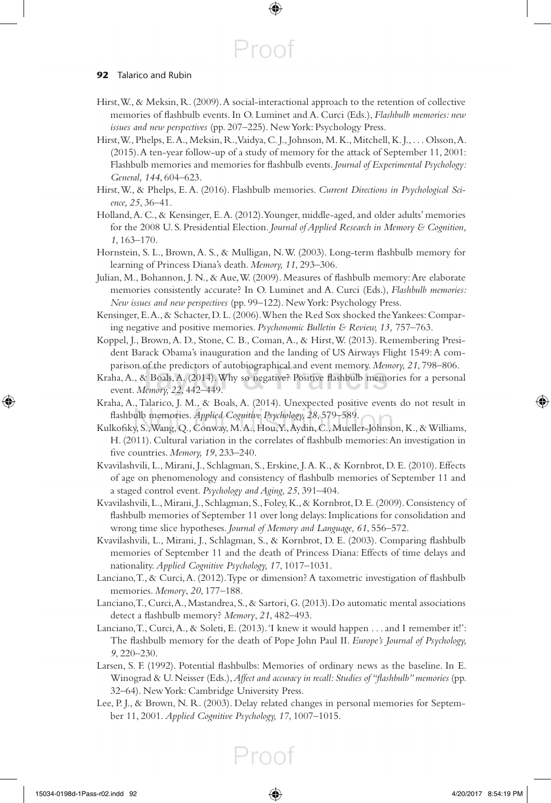#### **92** Talarico and Rubin

- Hirst, W., & Meksin, R. (2009). A social-interactional approach to the retention of collective memories of flashbulb events. In O. Luminet and A. Curci (Eds.), *Flashbulb memories: new issues and new perspectives* (pp. 207–225). New York: Psychology Press.
- Hirst, W., Phelps, E. A., Meksin, R., Vaidya, C. J., Johnson, M. K., Mitchell, K. J., . . . Olsson, A. (2015). A ten-year follow-up of a study of memory for the attack of September 11, 2001: Flashbulb memories and memories for flashbulb events. *Journal of Experimental Psychology: General, 144*, 604–623.
- Hirst, W., & Phelps, E. A. (2016). Flashbulb memories. *Current Directions in Psychological Science, 25*, 36–41.
- Holland, A. C., & Kensinger, E. A. (2012). Younger, middle-aged, and older adults' memories for the 2008 U. S. Presidential Election. *Journal of Applied Research in Memory & Cognition, 1*, 163–170.
- Hornstein, S. L., Brown, A. S., & Mulligan, N. W. (2003). Long-term flashbulb memory for learning of Princess Diana's death. *Memory, 11*, 293–306.
- Julian, M., Bohannon, J. N., & Aue, W. (2009). Measures of flashbulb memory: Are elaborate memories consistently accurate? In O. Luminet and A. Curci (Eds.), *Flashbulb memories: New issues and new perspectives* (pp. 99–122). New York: Psychology Press.
- Kensinger, E. A., & Schacter, D. L. (2006). When the Red Sox shocked the Yankees: Comparing negative and positive memories. *Psychonomic Bulletin & Review, 13,* 757–763.
- Koppel, J., Brown, A. D., Stone, C. B., Coman, A., & Hirst, W. (2013). Remembering President Barack Obama's inauguration and the landing of US Airways Flight 1549: A comparison of the predictors of autobiographical and event memory. *Memory, 21*, 798–806.
- Kraha, A., & Boals, A. (2014). Why so negative? Positive flashbulb memories for a personal event. *Memory, 22*, 442–449.
- Kraha, A., Talarico, J. M., & Boals, A. (2014). Unexpected positive events do not result in flashbulb memories. *Applied Cognitive Psychology, 28*, 579–589.
- Kulkofsky, S., Wang, Q., Conway, M. A., Hou, Y., Aydin, C., Mueller-Johnson, K., & Williams, H. (2011). Cultural variation in the correlates of flashbulb memories: An investigation in five countries. *Memory, 19*, 233–240.
- Kvavilashvili, L., Mirani, J., Schlagman, S., Erskine, J. A. K., & Kornbrot, D. E. (2010). Effects of age on phenomenology and consistency of flashbulb memories of September 11 and a staged control event. *Psychology and Aging, 25*, 391–404.
- Kvavilashvili, L., Mirani, J., Schlagman, S., Foley, K.,& Kornbrot, D. E. (2009). Consistency of flashbulb memories of September 11 over long delays: Implications for consolidation and wrong time slice hypotheses. *Journal of Memory and Language, 61*, 556–572.
- Kvavilashvili, L., Mirani, J., Schlagman, S., & Kornbrot, D. E. (2003). Comparing flashbulb memories of September 11 and the death of Princess Diana: Effects of time delays and nationality. *Applied Cognitive Psychology, 17*, 1017–1031.
- Lanciano, T., & Curci, A. (2012). Type or dimension? A taxometric investigation of flashbulb memories. *Memory*, *20*, 177–188.
- Lanciano, T., Curci, A., Mastandrea, S.,& Sartori, G. (2013). Do automatic mental associations detect a flashbulb memory? *Memory*, *21*, 482–493.
- Lanciano, T., Curci, A., & Soleti, E. (2013). 'I knew it would happen . . . and I remember it!': The flashbulb memory for the death of Pope John Paul II. *Europe's Journal of Psychology, 9*, 220–230.
- Larsen, S. F. (1992). Potential flashbulbs: Memories of ordinary news as the baseline. In E. Winograd & U. Neisser (Eds.), *Affect and accuracy in recall: Studies of "flashbulb" memories* (pp. 32–64). New York: Cambridge University Press.
- Lee, P. J., & Brown, N. R. (2003). Delay related changes in personal memories for September 11, 2001. *Applied Cognitive Psychology, 17*, 1007–1015.



⊕

⊕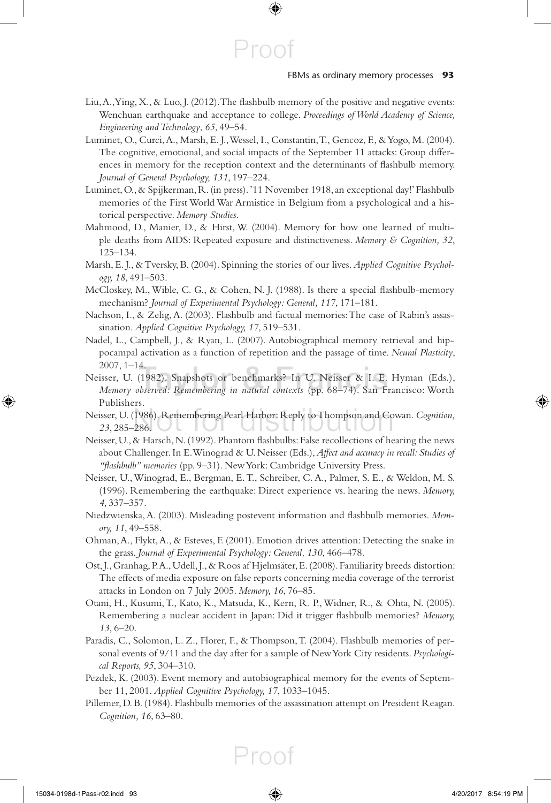#### FBMs as ordinary memory processes **93**

Liu, A., Ying, X., & Luo, J. (2012). The flashbulb memory of the positive and negative events: Wenchuan earthquake and acceptance to college. *Proceedings of World Academy of Science, Engineering and Technology*, *65*, 49–54.

Proof

- Luminet, O., Curci, A., Marsh, E. J., Wessel, I., Constantin, T., Gencoz, F., & Yogo, M. (2004). The cognitive, emotional, and social impacts of the September 11 attacks: Group differences in memory for the reception context and the determinants of flashbulb memory. *Journal of General Psychology, 131*, 197–224.
- Luminet, O.,& Spijkerman, R. (in press). '11 November 1918, an exceptional day!' Flashbulb memories of the First World War Armistice in Belgium from a psychological and a historical perspective. *Memory Studies*.
- Mahmood, D., Manier, D., & Hirst, W. (2004). Memory for how one learned of multiple deaths from AIDS: Repeated exposure and distinctiveness. *Memory & Cognition, 32*, 125–134.
- Marsh, E. J., & Tversky, B. (2004). Spinning the stories of our lives. *Applied Cognitive Psychology, 18*, 491–503.
- McCloskey, M., Wible, C. G., & Cohen, N. J. (1988). Is there a special flashbulb-memory mechanism? *Journal of Experimental Psychology: General, 117*, 171–181.
- Nachson, I., & Zelig, A. (2003). Flashbulb and factual memories: The case of Rabin's assassination. *Applied Cognitive Psychology, 17*, 519–531.
- Nadel, L., Campbell, J., & Ryan, L. (2007). Autobiographical memory retrieval and hippocampal activation as a function of repetition and the passage of time. *Neural Plasticity*, 2007, 1–14.
- Neisser, U. (1982). Snapshots or benchmarks? In U. Neisser & I. E. Hyman (Eds.), *Memory observed: Remembering in natural contexts* (pp. 68–74). San Francisco: Worth Publishers.
- Neisser, U. (1986). Remembering Pearl Harbor: Reply to Thompson and Cowan. *Cognition, 23*, 285–286.
- Neisser, U.,& Harsch, N. (1992). Phantom flashbulbs: False recollections of hearing the news about Challenger. In E. Winograd & U. Neisser (Eds.), *Affect and accuracy in recall: Studies of "flashbulb" memories* (pp. 9–31). New York: Cambridge University Press.
- Neisser, U., Winograd, E., Bergman, E. T., Schreiber, C. A., Palmer, S. E., & Weldon, M. S. (1996). Remembering the earthquake: Direct experience vs. hearing the news. *Memory, 4*, 337–357.
- Niedzwienska, A. (2003). Misleading postevent information and flashbulb memories. *Memory, 11*, 49–558.
- Ohman, A., Flykt, A., & Esteves, F. (2001). Emotion drives attention: Detecting the snake in the grass. *Journal of Experimental Psychology: General, 130*, 466–478.
- Ost, J., Granhag, P.A., Udell, J., & Roos af Hjelmsäter, E. (2008). Familiarity breeds distortion: The effects of media exposure on false reports concerning media coverage of the terrorist attacks in London on 7 July 2005. *Memory, 16*, 76–85.
- Otani, H., Kusumi, T., Kato, K., Matsuda, K., Kern, R. P., Widner, R., & Ohta, N. (2005). Remembering a nuclear accident in Japan: Did it trigger flashbulb memories? *Memory, 13*, 6–20.
- Paradis, C., Solomon, L. Z., Florer, F., & Thompson, T. (2004). Flashbulb memories of personal events of 9/11 and the day after for a sample of New York City residents. *Psychological Reports, 95*, 304–310.
- Pezdek, K. (2003). Event memory and autobiographical memory for the events of September 11, 2001. *Applied Cognitive Psychology, 17*, 1033–1045.
- Pillemer, D. B. (1984). Flashbulb memories of the assassination attempt on President Reagan. *Cognition, 16*, 63–80.

⊕

⊕

Prooi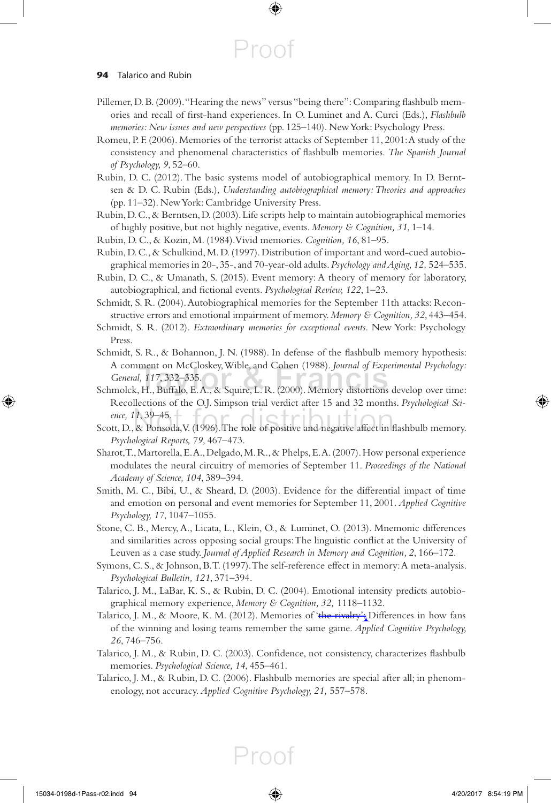#### **94** Talarico and Rubin

- Pillemer, D. B. (2009). "Hearing the news" versus "being there": Comparing flashbulb memories and recall of first-hand experiences. In O. Luminet and A. Curci (Eds.), *Flashbulb memories: New issues and new perspectives* (pp. 125–140). New York: Psychology Press.
- Romeu, P. F. (2006). Memories of the terrorist attacks of September 11, 2001: A study of the consistency and phenomenal characteristics of flashbulb memories. *The Spanish Journal of Psychology, 9*, 52–60.
- Rubin, D. C. (2012). The basic systems model of autobiographical memory. In D. Berntsen & D. C. Rubin (Eds.), *Understanding autobiographical memory: Theories and approaches* (pp. 11–32). New York: Cambridge University Press.
- Rubin, D. C.,& Berntsen, D. (2003). Life scripts help to maintain autobiographical memories of highly positive, but not highly negative, events. *Memory & Cognition, 31*, 1–14.
- Rubin, D. C., & Kozin, M. (1984). Vivid memories. *Cognition, 16*, 81–95.
- Rubin, D. C.,& Schulkind, M. D. (1997). Distribution of important and word-cued autobiographical memories in 20-, 35-, and 70-year-old adults. *Psychology and Aging, 12,* 524–535.
- Rubin, D. C., & Umanath, S. (2015). Event memory: A theory of memory for laboratory, autobiographical, and fictional events*. Psychological Review, 122*, 1–23.
- Schmidt, S. R. (2004). Autobiographical memories for the September 11th attacks: Reconstructive errors and emotional impairment of memory. *Memory & Cognition, 32*, 443–454.
- Schmidt, S. R. (2012). *Extraordinary memories for exceptional events*. New York: Psychology Press.
- Schmidt, S. R., & Bohannon, J. N. (1988). In defense of the flashbulb memory hypothesis: A comment on McCloskey, Wible, and Cohen (1988). *Journal of Experimental Psychology: General, 117*, 332–335.
- Schmolck, H., Buffalo, E. A., & Squire, L. R. (2000). Memory distortions develop over time: Recollections of the O.J. Simpson trial verdict after 15 and 32 months. *Psychological Science, 11*, 39–45.
- Scott, D., & Ponsoda, V. (1996). The role of positive and negative affect in flashbulb memory. *Psychological Reports, 79*, 467–473.
- Sharot, T., Martorella, E. A., Delgado, M. R.,& Phelps, E. A. (2007). How personal experience modulates the neural circuitry of memories of September 11. *Proceedings of the National Academy of Science, 104*, 389–394.
- Smith, M. C., Bibi, U., & Sheard, D. (2003). Evidence for the differential impact of time and emotion on personal and event memories for September 11, 2001. *Applied Cognitive Psychology, 17*, 1047–1055.
- Stone, C. B., Mercy, A., Licata, L., Klein, O., & Luminet, O. (2013). Mnemonic differences and similarities across opposing social groups: The linguistic conflict at the University of Leuven as a case study. *Journal of Applied Research in Memory and Cognition, 2*, 166–172.
- Symons, C. S., & Johnson, B. T. (1997). The self-reference effect in memory: A meta-analysis. *Psychological Bulletin, 121*, 371–394.
- Talarico, J. M., LaBar, K. S., & Rubin, D. C. (2004). Emotional intensity predicts autobiographical memory experience, *Memory & Cognition, 32,* 1118–1132.
- Talarico, J. M., & Moore, K. M. (2012). Memories of 'the rivalry': Differences in how fans of the winning and losing teams remember the same game. *Applied Cognitive Psychology, 26*, 746–756.
- Talarico, J. M., & Rubin, D. C. (2003). Confidence, not consistency, characterizes flashbulb memories. *Psychological Science, 14*, 455–461.
- Talarico, J. M., & Rubin, D. C. (2006). Flashbulb memories are special after all; in phenomenology, not accuracy. *Applied Cognitive Psychology, 21,* 557–578.

⊕

⊕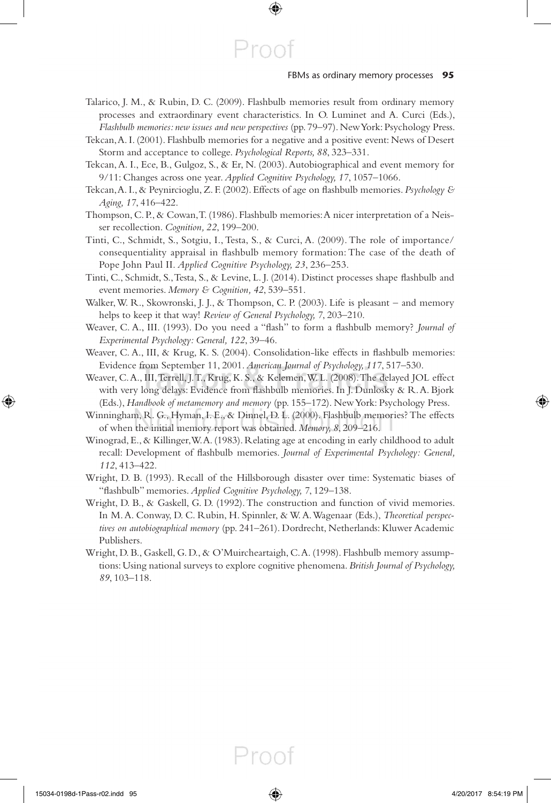#### FBMs as ordinary memory processes **95**

Talarico, J. M., & Rubin, D. C. (2009). Flashbulb memories result from ordinary memory processes and extraordinary event characteristics. In O. Luminet and A. Curci (Eds.), *Flashbulb memories: new issues and new perspectives* (pp. 79–97). New York: Psychology Press.

⊕

Proof

- Tekcan, A. I. (2001). Flashbulb memories for a negative and a positive event: News of Desert Storm and acceptance to college. *Psychological Reports, 88*, 323–331.
- Tekcan, A. I., Ece, B., Gulgoz, S., & Er, N. (2003). Autobiographical and event memory for 9/11: Changes across one year. *Applied Cognitive Psychology, 17*, 1057–1066.
- Tekcan, A. I., & Peynircioglu, Z. F. (2002). Effects of age on flashbulb memories. *Psychology & Aging, 17*, 416–422.
- Thompson, C. P., & Cowan, T. (1986). Flashbulb memories: A nicer interpretation of a Neisser recollection. *Cognition, 22*, 199–200.
- Tinti, C., Schmidt, S., Sotgiu, I., Testa, S., & Curci, A. (2009). The role of importance/ consequentiality appraisal in flashbulb memory formation: The case of the death of Pope John Paul II. *Applied Cognitive Psychology, 23*, 236–253.
- Tinti, C., Schmidt, S., Testa, S., & Levine, L. J. (2014). Distinct processes shape flashbulb and event memories. *Memory & Cognition, 42*, 539–551.
- Walker, W. R., Skowronski, J. J., & Thompson, C. P. (2003). Life is pleasant and memory helps to keep it that way! *Review of General Psychology, 7*, 203–210.
- Weaver, C. A., III. (1993). Do you need a "flash" to form a flashbulb memory? *Journal of Experimental Psychology: General, 122*, 39–46.
- Weaver, C. A., III, & Krug, K. S. (2004). Consolidation-like effects in flashbulb memories: Evidence from September 11, 2001. *American Journal of Psychology, 117*, 517–530.
- Weaver, C. A., III, Terrell, J. T., Krug, K. S., & Kelemen, W. L. (2008). The delayed JOL effect with very long delays: Evidence from flashbulb memories. In J. Dunlosky & R. A. Bjork (Eds.), *Handbook of metamemory and memory* (pp. 155–172). New York: Psychology Press.
- Winningham, R. G., Hyman, I. E., & Dinnel, D. L. (2000). Flashbulb memories? The effects of when the initial memory report was obtained. *Memory, 8*, 209–216.
- Winograd, E., & Killinger, W. A. (1983). Relating age at encoding in early childhood to adult recall: Development of flashbulb memories. *Journal of Experimental Psychology: General, 112*, 413–422.
- Wright, D. B. (1993). Recall of the Hillsborough disaster over time: Systematic biases of "flashbulb" memories. *Applied Cognitive Psychology, 7*, 129–138.
- Wright, D. B., & Gaskell, G. D. (1992). The construction and function of vivid memories. In M. A. Conway, D. C. Rubin, H. Spinnler, & W. A. Wagenaar (Eds.), *Theoretical perspectives on autobiographical memory* (pp. 241–261). Dordrecht, Netherlands: Kluwer Academic Publishers.
- Wright, D. B., Gaskell, G. D., & O'Muircheartaigh, C. A. (1998). Flashbulb memory assumptions: Using national surveys to explore cognitive phenomena. *British Journal of Psychology, 89*, 103–118.

⊕

⊕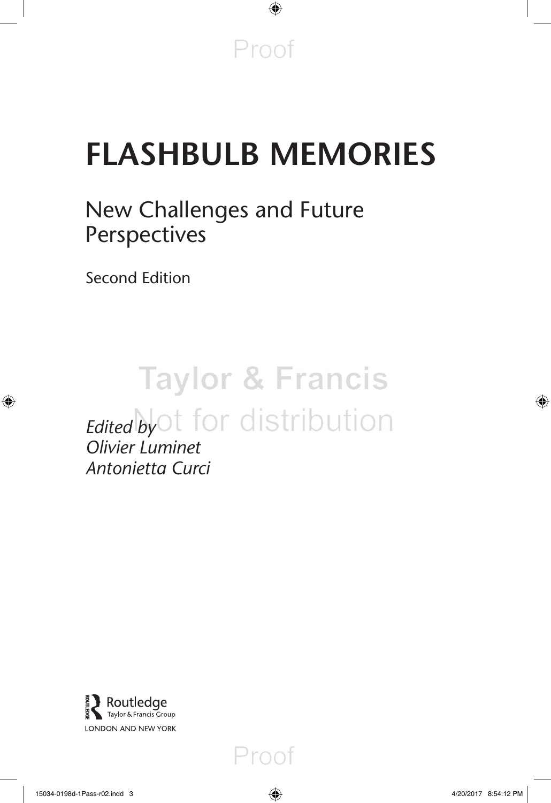

⊕

# **FLASHBULB MEMORIES**

## New Challenges and Future Perspectives

Second Edition

⊕

**Taylor & Francis** *Edited by* ot for distribution *Olivier Luminet Antonietta Curci*